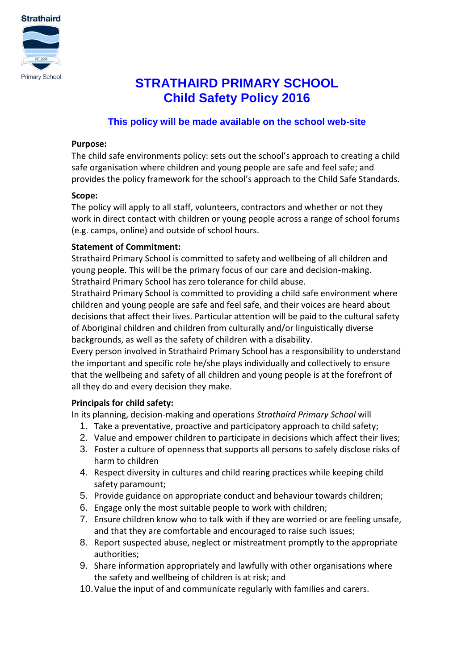

# **STRATHAIRD PRIMARY SCHOOL Child Safety Policy 2016**

## **This policy will be made available on the school web-site**

#### **Purpose:**

The child safe environments policy: sets out the school's approach to creating a child safe organisation where children and young people are safe and feel safe; and provides the policy framework for the school's approach to the Child Safe Standards.

#### **Scope:**

The policy will apply to all staff, volunteers, contractors and whether or not they work in direct contact with children or young people across a range of school forums (e.g. camps, online) and outside of school hours.

#### **Statement of Commitment:**

Strathaird Primary School is committed to safety and wellbeing of all children and young people. This will be the primary focus of our care and decision-making. Strathaird Primary School has zero tolerance for child abuse.

Strathaird Primary School is committed to providing a child safe environment where children and young people are safe and feel safe, and their voices are heard about decisions that affect their lives. Particular attention will be paid to the cultural safety of Aboriginal children and children from culturally and/or linguistically diverse backgrounds, as well as the safety of children with a disability.

Every person involved in Strathaird Primary School has a responsibility to understand the important and specific role he/she plays individually and collectively to ensure that the wellbeing and safety of all children and young people is at the forefront of all they do and every decision they make.

#### **Principals for child safety:**

In its planning, decision-making and operations *Strathaird Primary School* will

- 1. Take a preventative, proactive and participatory approach to child safety;
- 2. Value and empower children to participate in decisions which affect their lives;
- 3. Foster a culture of openness that supports all persons to safely disclose risks of harm to children
- 4. Respect diversity in cultures and child rearing practices while keeping child safety paramount;
- 5. Provide guidance on appropriate conduct and behaviour towards children;
- 6. Engage only the most suitable people to work with children;
- 7. Ensure children know who to talk with if they are worried or are feeling unsafe, and that they are comfortable and encouraged to raise such issues;
- 8. Report suspected abuse, neglect or mistreatment promptly to the appropriate authorities;
- 9. Share information appropriately and lawfully with other organisations where the safety and wellbeing of children is at risk; and
- 10.Value the input of and communicate regularly with families and carers.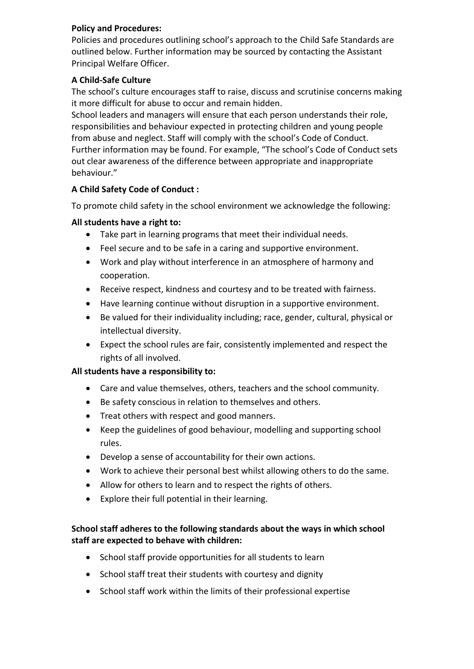#### **Policy and Procedures:**

Policies and procedures outlining school's approach to the Child Safe Standards are outlined below. Further information may be sourced by contacting the Assistant Principal Welfare Officer.

#### **A Child-Safe Culture**

The school's culture encourages staff to raise, discuss and scrutinise concerns making it more difficult for abuse to occur and remain hidden.

School leaders and managers will ensure that each person understands their role, responsibilities and behaviour expected in protecting children and young people from abuse and neglect. Staff will comply with the school's Code of Conduct. Further information may be found. For example, "The school's Code of Conduct sets out clear awareness of the difference between appropriate and inappropriate behaviour."

### **A Child Safety Code of Conduct :**

To promote child safety in the school environment we acknowledge the following:

#### **All students have a right to:**

- Take part in learning programs that meet their individual needs.
- Feel secure and to be safe in a caring and supportive environment.
- Work and play without interference in an atmosphere of harmony and cooperation.
- Receive respect, kindness and courtesy and to be treated with fairness.
- Have learning continue without disruption in a supportive environment.
- Be valued for their individuality including; race, gender, cultural, physical or intellectual diversity.
- Expect the school rules are fair, consistently implemented and respect the rights of all involved.

#### **All students have a responsibility to:**

- Care and value themselves, others, teachers and the school community.
- Be safety conscious in relation to themselves and others.
- Treat others with respect and good manners.
- Keep the guidelines of good behaviour, modelling and supporting school rules.
- Develop a sense of accountability for their own actions.
- Work to achieve their personal best whilst allowing others to do the same.
- Allow for others to learn and to respect the rights of others.
- Explore their full potential in their learning.

#### **School staff adheres to the following standards about the ways in which school staff are expected to behave with children:**

- School staff provide opportunities for all students to learn
- School staff treat their students with courtesy and dignity
- School staff work within the limits of their professional expertise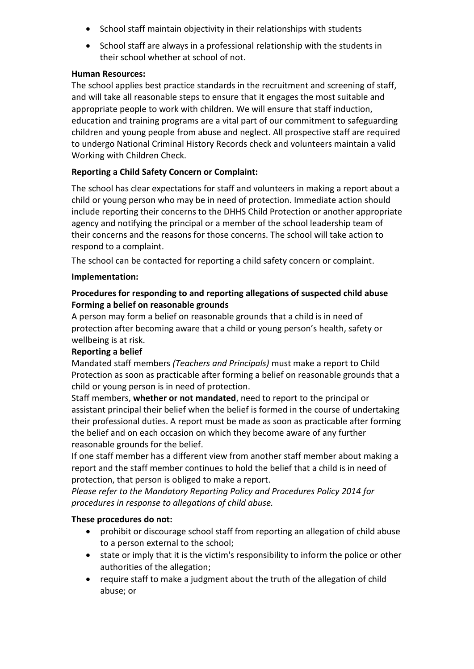- School staff maintain objectivity in their relationships with students
- School staff are always in a professional relationship with the students in their school whether at school of not.

#### **Human Resources:**

The school applies best practice standards in the recruitment and screening of staff, and will take all reasonable steps to ensure that it engages the most suitable and appropriate people to work with children. We will ensure that staff induction, education and training programs are a vital part of our commitment to safeguarding children and young people from abuse and neglect. All prospective staff are required to undergo National Criminal History Records check and volunteers maintain a valid Working with Children Check.

#### **Reporting a Child Safety Concern or Complaint:**

The school has clear expectations for staff and volunteers in making a report about a child or young person who may be in need of protection. Immediate action should include reporting their concerns to the DHHS Child Protection or another appropriate agency and notifying the principal or a member of the school leadership team of their concerns and the reasons for those concerns. The school will take action to respond to a complaint.

The school can be contacted for reporting a child safety concern or complaint.

#### **Implementation:**

#### **Procedures for responding to and reporting allegations of suspected child abuse Forming a belief on reasonable grounds**

A person may form a belief on reasonable grounds that a child is in need of protection after becoming aware that a child or young person's health, safety or wellbeing is at risk.

#### **Reporting a belief**

Mandated staff members *(Teachers and Principals)* must make a report to Child Protection as soon as practicable after forming a belief on reasonable grounds that a child or young person is in need of protection.

Staff members, **whether or not mandated**, need to report to the principal or assistant principal their belief when the belief is formed in the course of undertaking their professional duties. A report must be made as soon as practicable after forming the belief and on each occasion on which they become aware of any further reasonable grounds for the belief.

If one staff member has a different view from another staff member about making a report and the staff member continues to hold the belief that a child is in need of protection, that person is obliged to make a report.

*Please refer to the Mandatory Reporting Policy and Procedures Policy 2014 for procedures in response to allegations of child abuse.*

#### **These procedures do not:**

- prohibit or discourage school staff from reporting an allegation of child abuse to a person external to the school;
- state or imply that it is the victim's responsibility to inform the police or other authorities of the allegation;
- require staff to make a judgment about the truth of the allegation of child abuse; or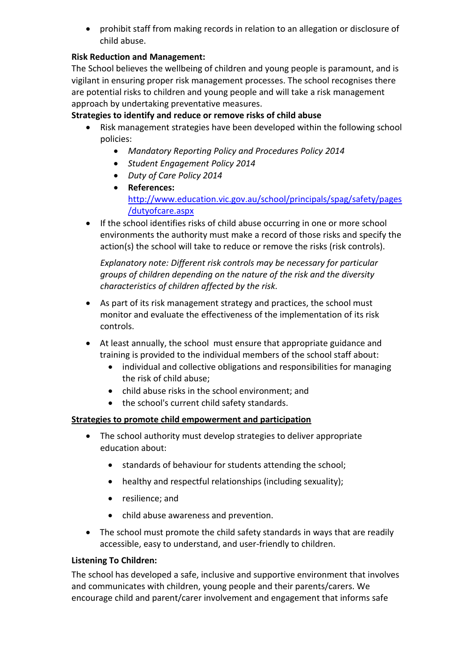prohibit staff from making records in relation to an allegation or disclosure of child abuse.

## **Risk Reduction and Management:**

The School believes the wellbeing of children and young people is paramount, and is vigilant in ensuring proper risk management processes. The school recognises there are potential risks to children and young people and will take a risk management approach by undertaking preventative measures.

## **Strategies to identify and reduce or remove risks of child abuse**

- Risk management strategies have been developed within the following school policies:
	- *Mandatory Reporting Policy and Procedures Policy 2014*
	- *Student Engagement Policy 2014*
	- *Duty of Care Policy 2014*
	- **References:**  [http://www.education.vic.gov.au/school/principals/spag/safety/pages](http://www.education.vic.gov.au/school/principals/spag/safety/pages/dutyofcare.aspx) [/dutyofcare.aspx](http://www.education.vic.gov.au/school/principals/spag/safety/pages/dutyofcare.aspx)
- If the school identifies risks of child abuse occurring in one or more school environments the authority must make a record of those risks and specify the action(s) the school will take to reduce or remove the risks (risk controls).

*Explanatory note: Different risk controls may be necessary for particular groups of children depending on the nature of the risk and the diversity characteristics of children affected by the risk.*

- As part of its risk management strategy and practices, the school must monitor and evaluate the effectiveness of the implementation of its risk controls.
- At least annually, the school must ensure that appropriate guidance and training is provided to the individual members of the school staff about:
	- individual and collective obligations and responsibilities for managing the risk of child abuse;
	- child abuse risks in the school environment; and
	- the school's current child safety standards.

#### **Strategies to promote child empowerment and participation**

- The school authority must develop strategies to deliver appropriate education about:
	- standards of behaviour for students attending the school;
	- healthy and respectful relationships (including sexuality);
	- resilience; and
	- child abuse awareness and prevention.
- The school must promote the child safety standards in ways that are readily accessible, easy to understand, and user-friendly to children.

#### **Listening To Children:**

The school has developed a safe, inclusive and supportive environment that involves and communicates with children, young people and their parents/carers. We encourage child and parent/carer involvement and engagement that informs safe